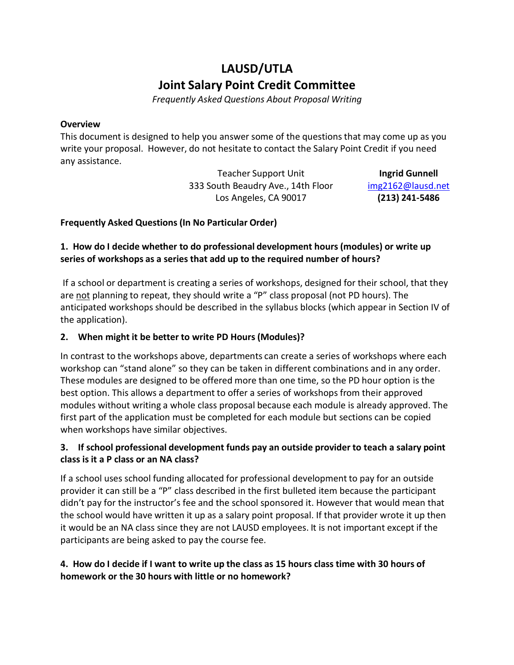# **LAUSD/UTLA Joint Salary Point Credit Committee**

*Frequently Asked Questions About Proposal Writing*

#### **Overview**

This document is designed to help you answer some of the questions that may come up as you write your proposal. However, do not hesitate to contact the Salary Point Credit if you need any assistance.

> Teacher Support Unit 333 South Beaudry Ave., 14th Floor Los Angeles, CA 90017

**Ingrid Gunnell**  [img2162@lausd.net](mailto:img2162@lausd.net) **(213) 241-5486**

### **Frequently Asked Questions (In No Particular Order)**

## **1. How do I decide whether to do professional development hours (modules) or write up series of workshops as a series that add up to the required number of hours?**

If a school or department is creating a series of workshops, designed for their school, that they are not planning to repeat, they should write a "P" class proposal (not PD hours). The anticipated workshops should be described in the syllabus blocks (which appear in Section IV of the application).

## **2. When might it be better to write PD Hours (Modules)?**

In contrast to the workshops above, departments can create a series of workshops where each workshop can "stand alone" so they can be taken in different combinations and in any order. These modules are designed to be offered more than one time, so the PD hour option is the best option. This allows a department to offer a series of workshops from their approved modules without writing a whole class proposal because each module is already approved. The first part of the application must be completed for each module but sections can be copied when workshops have similar objectives.

### **3. If school professional development funds pay an outside provider to teach a salary point class is it a P class or an NA class?**

If a school uses school funding allocated for professional development to pay for an outside provider it can still be a "P" class described in the first bulleted item because the participant didn't pay for the instructor's fee and the school sponsored it. However that would mean that the school would have written it up as a salary point proposal. If that provider wrote it up then it would be an NA class since they are not LAUSD employees. It is not important except if the participants are being asked to pay the course fee.

### **4. How do I decide if I want to write up the class as 15 hours class time with 30 hours of homework or the 30 hours with little or no homework?**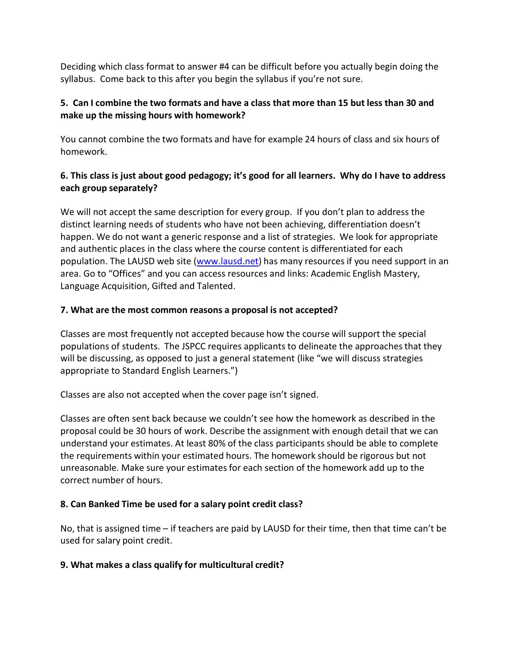Deciding which class format to answer #4 can be difficult before you actually begin doing the syllabus. Come back to this after you begin the syllabus if you're not sure.

### **5. Can I combine the two formats and have a class that more than 15 but less than 30 and make up the missing hours with homework?**

You cannot combine the two formats and have for example 24 hours of class and six hours of homework.

# 6. This class is just about good pedagogy; it's good for all learners. Why do I have to address **each group separately?**

We will not accept the same description for every group. If you don't plan to address the distinct learning needs of students who have not been achieving, differentiation doesn't happen. We do not want a generic response and a list of strategies. We look for appropriate and authentic places in the class where the course content is differentiated for each population. The LAUSD web site [\(www.lausd.net\)](http://www.lausd.net/) has many resources if you need support in an area. Go to "Offices" and you can access resources and links: Academic English Mastery, Language Acquisition, Gifted and Talented.

# **7. What are the most common reasons a proposal is not accepted?**

Classes are most frequently not accepted because how the course will support the special populations of students. The JSPCC requires applicants to delineate the approaches that they will be discussing, as opposed to just a general statement (like "we will discuss strategies appropriate to Standard English Learners.")

Classes are also not accepted when the cover page isn't signed.

Classes are often sent back because we couldn't see how the homework as described in the proposal could be 30 hours of work. Describe the assignment with enough detail that we can understand your estimates. At least 80% of the class participants should be able to complete the requirements within your estimated hours. The homework should be rigorous but not unreasonable. Make sure your estimates for each section of the homework add up to the correct number of hours.

# **8. Can Banked Time be used for a salary point credit class?**

No, that is assigned time – if teachers are paid by LAUSD for their time, then that time can't be used for salary point credit.

# **9. What makes a class qualify for multicultural credit?**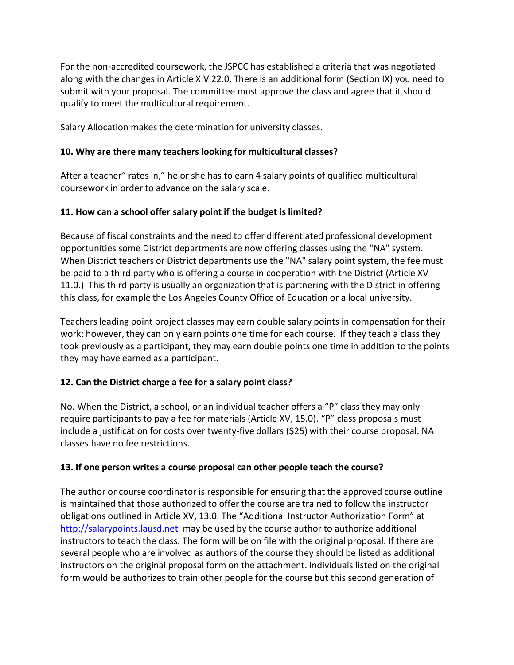For the non-accredited coursework, the JSPCC has established a criteria that was negotiated along with the changes in Article XIV 22.0. There is an additional form (Section IX) you need to submit with your proposal. The committee must approve the class and agree that it should qualify to meet the multicultural requirement.

Salary Allocation makesthe determination for university classes.

### **10. Why are there many teachers looking for multicultural classes?**

After a teacher" rates in," he or she has to earn 4 salary points of qualified multicultural coursework in order to advance on the salary scale.

### **11. How can a school offer salary point if the budget is limited?**

Because of fiscal constraints and the need to offer differentiated professional development opportunities some District departments are now offering classes using the "NA" system. When District teachers or District departments use the "NA" salary point system, the fee must be paid to a third party who is offering a course in cooperation with the District (Article XV 11.0.) This third party is usually an organization that is partnering with the District in offering this class, for example the Los Angeles County Office of Education or a local university.

Teachers leading point project classes may earn double salary points in compensation for their work; however, they can only earn points one time for each course. If they teach a class they took previously as a participant, they may earn double points one time in addition to the points they may have earned as a participant.

#### **12. Can the District charge a fee for a salary point class?**

No. When the District, a school, or an individual teacher offers a "P" class they may only require participants to pay a fee for materials (Article XV, 15.0). "P" class proposals must include a justification for costs over twenty-five dollars (\$25) with their course proposal. NA classes have no fee restrictions.

#### **13. If one person writes a course proposal can other people teach the course?**

The author or course coordinator is responsible for ensuring that the approved course outline is maintained that those authorized to offer the course are trained to follow the instructor obligations outlined in Article XV, 13.0. The "Additional Instructor Authorization Form" at [http://salarypoints.lausd.net](http://salarypoints.lausd.net/) may be used by the course author to authorize additional instructors to teach the class. The form will be on file with the original proposal. If there are several people who are involved as authors of the course they should be listed as additional instructors on the original proposal form on the attachment. Individuals listed on the original form would be authorizes to train other people for the course but this second generation of